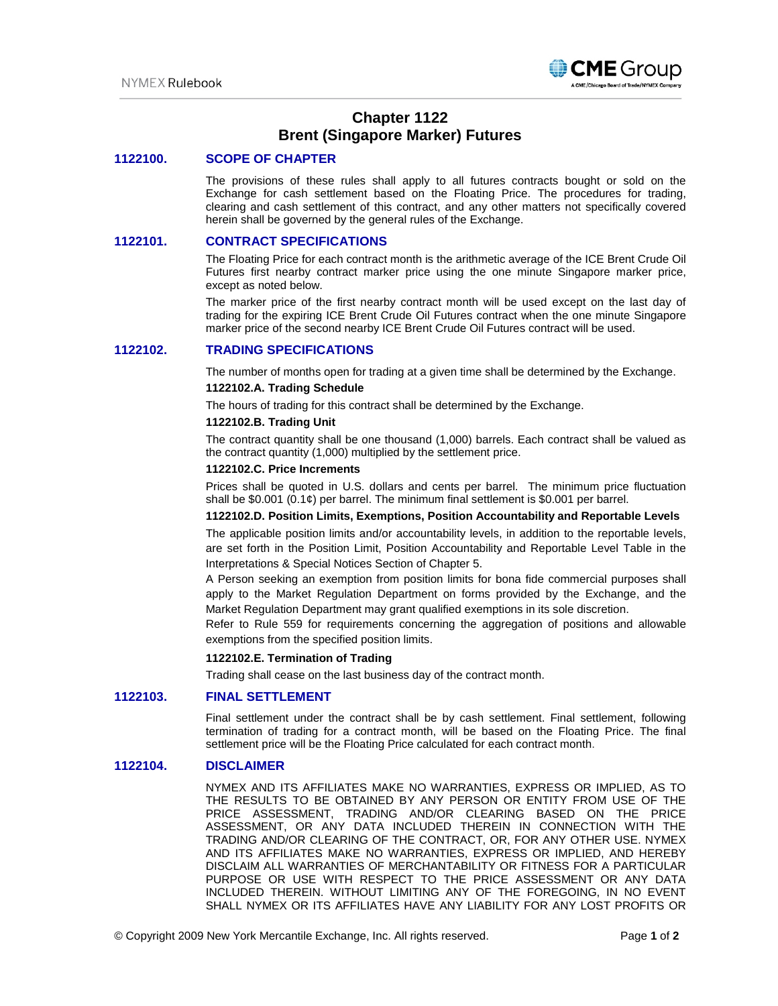

# **Chapter 1122 Brent (Singapore Marker) Futures**

## **1122100. SCOPE OF CHAPTER**

The provisions of these rules shall apply to all futures contracts bought or sold on the Exchange for cash settlement based on the Floating Price. The procedures for trading, clearing and cash settlement of this contract, and any other matters not specifically covered herein shall be governed by the general rules of the Exchange.

### **1122101. CONTRACT SPECIFICATIONS**

The Floating Price for each contract month is the arithmetic average of the ICE Brent Crude Oil Futures first nearby contract marker price using the one minute Singapore marker price, except as noted below.

The marker price of the first nearby contract month will be used except on the last day of trading for the expiring ICE Brent Crude Oil Futures contract when the one minute Singapore marker price of the second nearby ICE Brent Crude Oil Futures contract will be used.

## **1122102. TRADING SPECIFICATIONS**

The number of months open for trading at a given time shall be determined by the Exchange.

#### **1122102.A. Trading Schedule**

The hours of trading for this contract shall be determined by the Exchange.

#### **1122102.B. Trading Unit**

The contract quantity shall be one thousand (1,000) barrels. Each contract shall be valued as the contract quantity (1,000) multiplied by the settlement price.

#### **1122102.C. Price Increments**

Prices shall be quoted in U.S. dollars and cents per barrel. The minimum price fluctuation shall be  $$0.001$  (0.1 $¢$ ) per barrel. The minimum final settlement is  $$0.001$  per barrel.

#### **1122102.D. Position Limits, Exemptions, Position Accountability and Reportable Levels**

The applicable position limits and/or accountability levels, in addition to the reportable levels, are set forth in the Position Limit, Position Accountability and Reportable Level Table in the Interpretations & Special Notices Section of Chapter 5.

A Person seeking an exemption from position limits for bona fide commercial purposes shall apply to the Market Regulation Department on forms provided by the Exchange, and the Market Regulation Department may grant qualified exemptions in its sole discretion.

Refer to Rule 559 for requirements concerning the aggregation of positions and allowable exemptions from the specified position limits.

#### **1122102.E. Termination of Trading**

Trading shall cease on the last business day of the contract month.

### **1122103. FINAL SETTLEMENT**

Final settlement under the contract shall be by cash settlement. Final settlement, following termination of trading for a contract month, will be based on the Floating Price. The final settlement price will be the Floating Price calculated for each contract month.

# **1122104. DISCLAIMER**

NYMEX AND ITS AFFILIATES MAKE NO WARRANTIES, EXPRESS OR IMPLIED, AS TO THE RESULTS TO BE OBTAINED BY ANY PERSON OR ENTITY FROM USE OF THE PRICE ASSESSMENT, TRADING AND/OR CLEARING BASED ON THE PRICE ASSESSMENT, OR ANY DATA INCLUDED THEREIN IN CONNECTION WITH THE TRADING AND/OR CLEARING OF THE CONTRACT, OR, FOR ANY OTHER USE. NYMEX AND ITS AFFILIATES MAKE NO WARRANTIES, EXPRESS OR IMPLIED, AND HEREBY DISCLAIM ALL WARRANTIES OF MERCHANTABILITY OR FITNESS FOR A PARTICULAR PURPOSE OR USE WITH RESPECT TO THE PRICE ASSESSMENT OR ANY DATA INCLUDED THEREIN. WITHOUT LIMITING ANY OF THE FOREGOING, IN NO EVENT SHALL NYMEX OR ITS AFFILIATES HAVE ANY LIABILITY FOR ANY LOST PROFITS OR